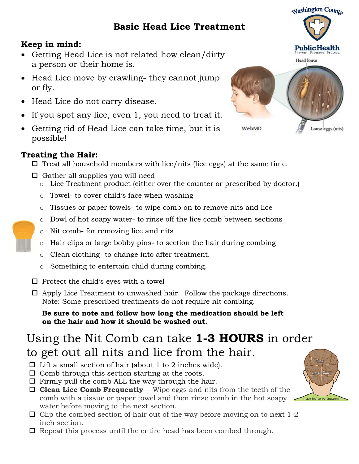## **Basic Head Lice Treatment**

### **Keep in mind:**

- Getting Head Lice is not related how clean/dirty a person or their home is.
- Head Lice move by crawling- they cannot jump or fly.
- Head Lice do not carry disease.
- If you spot any lice, even 1, you need to treat it.
- Getting rid of Head Lice can take time, but it is possible!

### **Treating the Hair:**

- $\Box$  Treat all household members with lice/nits (lice eggs) at the same time.
- $\Box$  Gather all supplies you will need
	- o Lice Treatment product (either over the counter or prescribed by doctor.)
	- o Towel- to cover child's face when washing
	- o Tissues or paper towels- to wipe comb on to remove nits and lice
	- o Bowl of hot soapy water- to rinse off the lice comb between sections
	- o Nit comb- for removing lice and nits
	- o Hair clips or large bobby pins- to section the hair during combing
	- o Clean clothing- to change into after treatment.
	- o Something to entertain child during combing.
- $\square$  Protect the child's eyes with a towel
- $\Box$  Apply Lice Treatment to unwashed hair. Follow the package directions. Note: Some prescribed treatments do not require nit combing.

**Be sure to note and follow how long the medication should be left on the hair and how it should be washed out.**

# Using the Nit Comb can take **1-3 HOURS** in order

## to get out all nits and lice from the hair.

- $\square$  Lift a small section of hair (about 1 to 2 inches wide).
- $\Box$  Comb through this section starting at the roots.
- $\Box$  Firmly pull the comb ALL the way through the hair.
- **Clean Lice Comb Frequently** —Wipe eggs and nits from the teeth of the comb with a tissue or paper towel and then rinse comb in the hot soapy water before moving to the next section.
- $\Box$  Clip the combed section of hair out of the way before moving on to next 1-2 inch section.
- $\Box$  Repeat this process until the entire head has been combed through.